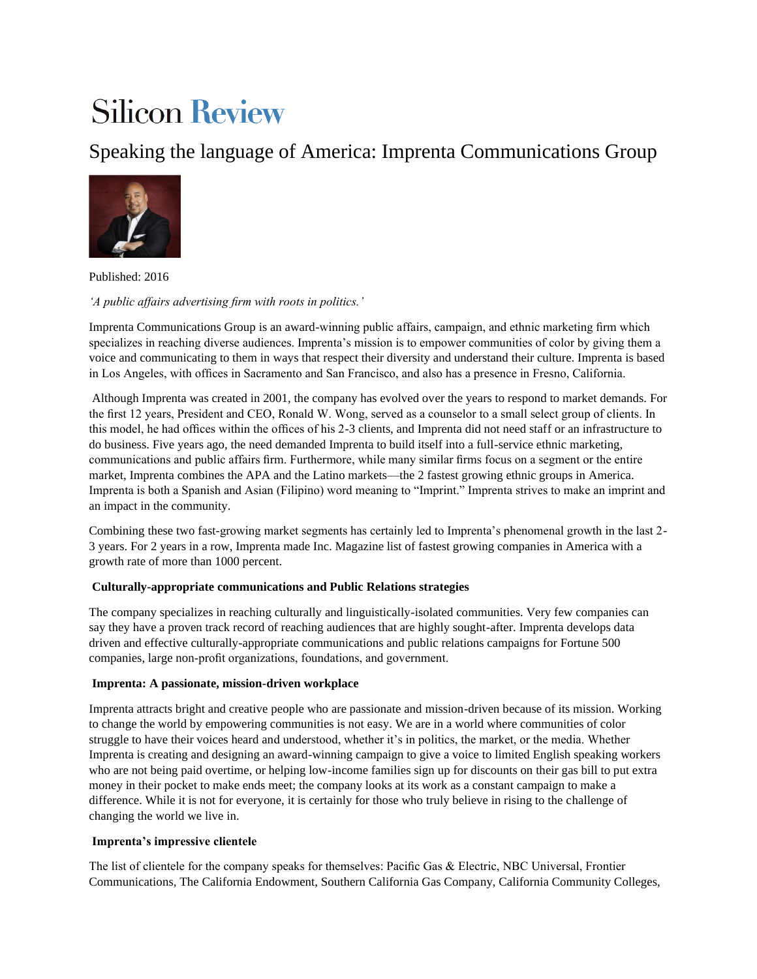# **Silicon Review**

# Speaking the language of America: Imprenta Communications Group



Published: 2016

*'A public affairs advertising firm with roots in politics.'* 

Imprenta Communications Group is an award-winning public affairs, campaign, and ethnic marketing firm which specializes in reaching diverse audiences. Imprenta's mission is to empower communities of color by giving them a voice and communicating to them in ways that respect their diversity and understand their culture. Imprenta is based in Los Angeles, with offices in Sacramento and San Francisco, and also has a presence in Fresno, California.

Although Imprenta was created in 2001, the company has evolved over the years to respond to market demands. For the first 12 years, President and CEO, Ronald W. Wong, served as a counselor to a small select group of clients. In this model, he had offices within the offices of his 2-3 clients, and Imprenta did not need staff or an infrastructure to do business. Five years ago, the need demanded Imprenta to build itself into a full-service ethnic marketing, communications and public affairs firm. Furthermore, while many similar firms focus on a segment or the entire market, Imprenta combines the APA and the Latino markets—the 2 fastest growing ethnic groups in America. Imprenta is both a Spanish and Asian (Filipino) word meaning to "Imprint." Imprenta strives to make an imprint and an impact in the community.

Combining these two fast-growing market segments has certainly led to Imprenta's phenomenal growth in the last 2- 3 years. For 2 years in a row, Imprenta made Inc. Magazine list of fastest growing companies in America with a growth rate of more than 1000 percent.

# **Culturally-appropriate communications and Public Relations strategies**

The company specializes in reaching culturally and linguistically-isolated communities. Very few companies can say they have a proven track record of reaching audiences that are highly sought-after. Imprenta develops data driven and effective culturally-appropriate communications and public relations campaigns for Fortune 500 companies, large non-profit organizations, foundations, and government.

# **Imprenta: A passionate, mission-driven workplace**

Imprenta attracts bright and creative people who are passionate and mission-driven because of its mission. Working to change the world by empowering communities is not easy. We are in a world where communities of color struggle to have their voices heard and understood, whether it's in politics, the market, or the media. Whether Imprenta is creating and designing an award-winning campaign to give a voice to limited English speaking workers who are not being paid overtime, or helping low-income families sign up for discounts on their gas bill to put extra money in their pocket to make ends meet; the company looks at its work as a constant campaign to make a difference. While it is not for everyone, it is certainly for those who truly believe in rising to the challenge of changing the world we live in.

#### **Imprenta's impressive clientele**

The list of clientele for the company speaks for themselves: Pacific Gas & Electric, NBC Universal, Frontier Communications, The California Endowment, Southern California Gas Company, California Community Colleges,